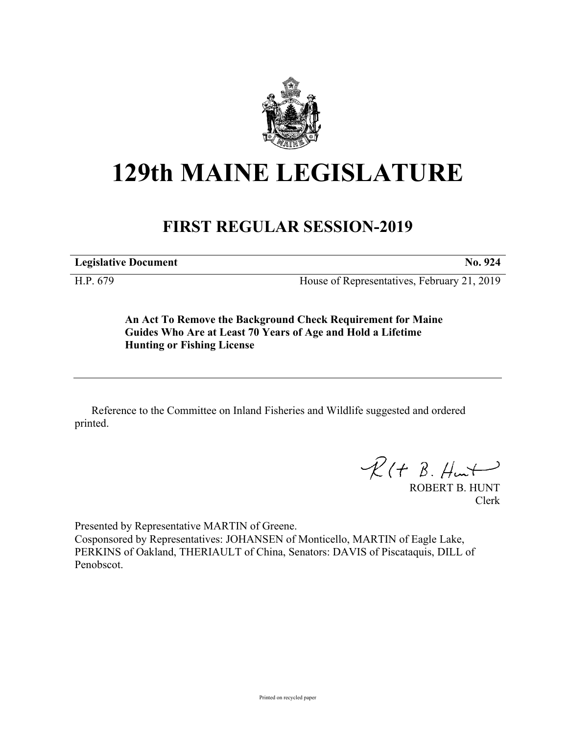

## **129th MAINE LEGISLATURE**

## **FIRST REGULAR SESSION-2019**

**Legislative Document No. 924**

H.P. 679 House of Representatives, February 21, 2019

**An Act To Remove the Background Check Requirement for Maine Guides Who Are at Least 70 Years of Age and Hold a Lifetime Hunting or Fishing License**

Reference to the Committee on Inland Fisheries and Wildlife suggested and ordered printed.

 $R(H B. H<sub>un</sub>+)$ 

ROBERT B. HUNT Clerk

Presented by Representative MARTIN of Greene. Cosponsored by Representatives: JOHANSEN of Monticello, MARTIN of Eagle Lake, PERKINS of Oakland, THERIAULT of China, Senators: DAVIS of Piscataquis, DILL of Penobscot.